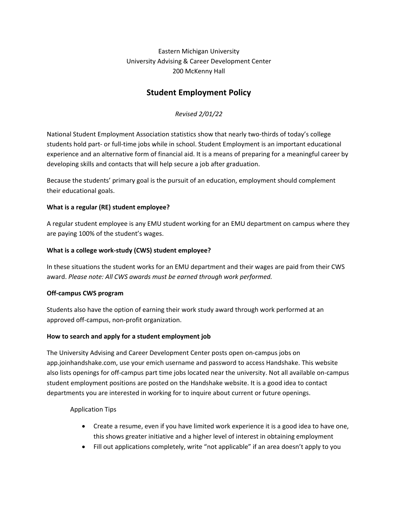Eastern Michigan University University Advising & Career Development Center 200 McKenny Hall

## **Student Employment Policy**

*Revised 2/01/22*

National Student Employment Association statistics show that nearly two-thirds of today's college students hold part- or full-time jobs while in school. Student Employment is an important educational experience and an alternative form of financial aid. It is a means of preparing for a meaningful career by developing skills and contacts that will help secure a job after graduation.

Because the students' primary goal is the pursuit of an education, employment should complement their educational goals.

## **What is a regular (RE) student employee?**

A regular student employee is any EMU student working for an EMU department on campus where they are paying 100% of the student's wages.

## **What is a college work-study (CWS) student employee?**

In these situations the student works for an EMU department and their wages are paid from their CWS award. *Please note: All CWS awards must be earned through work performed.*

## **Off-campus CWS program**

Students also have the option of earning their work study award through work performed at an approved off-campus, non-profit organization.

## **How to search and apply for a student employment job**

The University Advising and Career Development Center posts open on-campus jobs on app.joinhandshake.com, use your emich username and password to access Handshake. This website also lists openings for off-campus part time jobs located near the university. Not all available on-campus student employment positions are posted on the Handshake website. It is a good idea to contact departments you are interested in working for to inquire about current or future openings.

## Application Tips

- Create a resume, even if you have limited work experience it is a good idea to have one, this shows greater initiative and a higher level of interest in obtaining employment
- Fill out applications completely, write "not applicable" if an area doesn't apply to you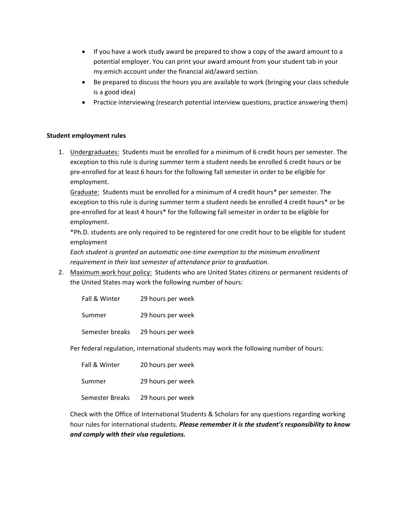- If you have a work study award be prepared to show a copy of the award amount to a potential employer. You can print your award amount from your student tab in your my.emich account under the financial aid/award section.
- Be prepared to discuss the hours you are available to work (bringing your class schedule is a good idea)
- Practice interviewing (research potential interview questions, practice answering them)

#### **Student employment rules**

1. Undergraduates: Students must be enrolled for a minimum of 6 credit hours per semester. The exception to this rule is during summer term a student needs be enrolled 6 credit hours or be pre-enrolled for at least 6 hours for the following fall semester in order to be eligible for employment.

Graduate: Students must be enrolled for a minimum of 4 credit hours\* per semester. The exception to this rule is during summer term a student needs be enrolled 4 credit hours\* or be pre-enrolled for at least 4 hours\* for the following fall semester in order to be eligible for employment.

\*Ph.D. students are only required to be registered for one credit hour to be eligible for student employment

*Each student is granted an automatic one-time exemption to the minimum enrollment requirement in their last semester of attendance prior to graduation.*

2. Maximum work hour policy: Students who are United States citizens or permanent residents of the United States may work the following number of hours:

| Fall & Winter   | 29 hours per week |
|-----------------|-------------------|
| Summer          | 29 hours per week |
| Semester breaks | 29 hours per week |

Per federal regulation, international students may work the following number of hours:

| Fall & Winter   | 20 hours per week |
|-----------------|-------------------|
| Summer          | 29 hours per week |
| Semester Breaks | 29 hours per week |

Check with the Office of International Students & Scholars for any questions regarding working hour rules for international students. *Please remember it is the student's responsibility to know and comply with their visa regulations.*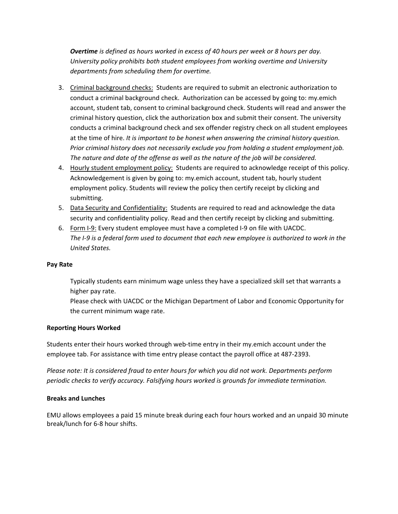*Overtime is defined as hours worked in excess of 40 hours per week or 8 hours per day. University policy prohibits both student employees from working overtime and University departments from scheduling them for overtime.*

- 3. Criminal background checks: Students are required to submit an electronic authorization to conduct a criminal background check. Authorization can be accessed by going to: my.emich account, student tab, consent to criminal background check. Students will read and answer the criminal history question, click the authorization box and submit their consent. The university conducts a criminal background check and sex offender registry check on all student employees at the time of hire. *It is important to be honest when answering the criminal history question. Prior criminal history does not necessarily exclude you from holding a student employment job. The nature and date of the offense as well as the nature of the job will be considered.*
- 4. Hourly student employment policy: Students are required to acknowledge receipt of this policy. Acknowledgement is given by going to: my.emich account, student tab, hourly student employment policy. Students will review the policy then certify receipt by clicking and submitting.
- 5. Data Security and Confidentiality: Students are required to read and acknowledge the data security and confidentiality policy. Read and then certify receipt by clicking and submitting.
- 6. Form I-9: Every student employee must have a completed I-9 on file with UACDC. *The I-9 is a federal form used to document that each new employee is authorized to work in the United States.*

#### **Pay Rate**

Typically students earn minimum wage unless they have a specialized skill set that warrants a higher pay rate.

Please check with UACDC or the Michigan Department of Labor and Economic Opportunity for the current minimum wage rate.

#### **Reporting Hours Worked**

Students enter their hours worked through web-time entry in their my.emich account under the employee tab. For assistance with time entry please contact the payroll office at 487-2393.

*Please note: It is considered fraud to enter hours for which you did not work. Departments perform periodic checks to verify accuracy. Falsifying hours worked is grounds for immediate termination.*

#### **Breaks and Lunches**

EMU allows employees a paid 15 minute break during each four hours worked and an unpaid 30 minute break/lunch for 6-8 hour shifts.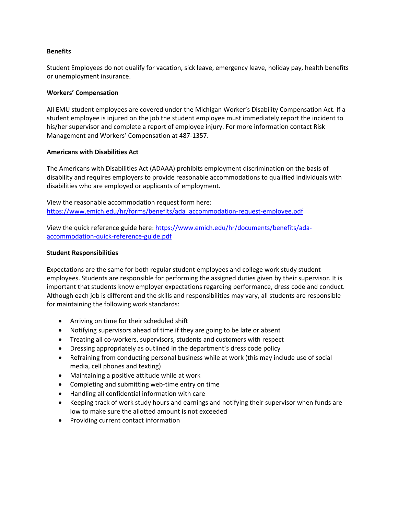#### **Benefits**

Student Employees do not qualify for vacation, sick leave, emergency leave, holiday pay, health benefits or unemployment insurance.

#### **Workers' Compensation**

All EMU student employees are covered under the Michigan Worker's Disability Compensation Act. If a student employee is injured on the job the student employee must immediately report the incident to his/her supervisor and complete a report of employee injury. For more information contact Risk Management and Workers' Compensation at 487-1357.

#### **Americans with Disabilities Act**

The Americans with Disabilities Act (ADAAA) prohibits employment discrimination on the basis of disability and requires employers to provide reasonable accommodations to qualified individuals with disabilities who are employed or applicants of employment.

View the reasonable accommodation request form here: [https://www.emich.edu/hr/forms/benefits/ada\\_accommodation-request-employee.pdf](https://www.emich.edu/hr/forms/benefits/ada_accommodation-request-employee.pdf)

View the quick reference guide here: [https://www.emich.edu/hr/documents/benefits/ada](https://www.emich.edu/hr/documents/benefits/ada-accommodation-quick-reference-guide.pdf)[accommodation-quick-reference-guide.pdf](https://www.emich.edu/hr/documents/benefits/ada-accommodation-quick-reference-guide.pdf)

#### **Student Responsibilities**

Expectations are the same for both regular student employees and college work study student employees. Students are responsible for performing the assigned duties given by their supervisor. It is important that students know employer expectations regarding performance, dress code and conduct. Although each job is different and the skills and responsibilities may vary, all students are responsible for maintaining the following work standards:

- Arriving on time for their scheduled shift
- Notifying supervisors ahead of time if they are going to be late or absent
- Treating all co-workers, supervisors, students and customers with respect
- Dressing appropriately as outlined in the department's dress code policy
- Refraining from conducting personal business while at work (this may include use of social media, cell phones and texting)
- Maintaining a positive attitude while at work
- Completing and submitting web-time entry on time
- Handling all confidential information with care
- Keeping track of work study hours and earnings and notifying their supervisor when funds are low to make sure the allotted amount is not exceeded
- Providing current contact information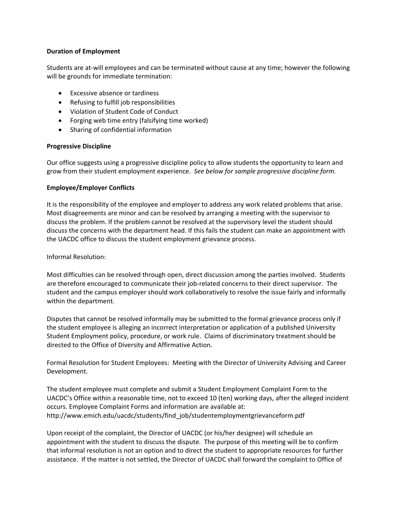#### **Duration of Employment**

Students are at-will employees and can be terminated without cause at any time; however the following will be grounds for immediate termination:

- Excessive absence or tardiness
- Refusing to fulfill job responsibilities
- Violation of Student Code of Conduct
- Forging web time entry (falsifying time worked)
- Sharing of confidential information

#### **Progressive Discipline**

Our office suggests using a progressive discipline policy to allow students the opportunity to learn and grow from their student employment experience. *See below for sample progressive discipline form.*

#### **Employee/Employer Conflicts**

It is the responsibility of the employee and employer to address any work related problems that arise. Most disagreements are minor and can be resolved by arranging a meeting with the supervisor to discuss the problem. If the problem cannot be resolved at the supervisory level the student should discuss the concerns with the department head. If this fails the student can make an appointment with the UACDC office to discuss the student employment grievance process.

Informal Resolution:

Most difficulties can be resolved through open, direct discussion among the parties involved. Students are therefore encouraged to communicate their job-related concerns to their direct supervisor. The student and the campus employer should work collaboratively to resolve the issue fairly and informally within the department.

Disputes that cannot be resolved informally may be submitted to the formal grievance process only if the student employee is alleging an incorrect interpretation or application of a published University Student Employment policy, procedure, or work rule. Claims of discriminatory treatment should be directed to the Office of Diversity and Affirmative Action.

Formal Resolution for Student Employees: Meeting with the Director of University Advising and Career Development.

The student employee must complete and submit a Student Employment Complaint Form to the UACDC's Office within a reasonable time, not to exceed 10 (ten) working days, after the alleged incident occurs. Employee Complaint Forms and information are available at: http://www.emich.edu/uacdc/students/find\_job/studentemploymentgrievanceform.pdf

Upon receipt of the complaint, the Director of UACDC (or his/her designee) will schedule an appointment with the student to discuss the dispute. The purpose of this meeting will be to confirm that informal resolution is not an option and to direct the student to appropriate resources for further assistance. If the matter is not settled, the Director of UACDC shall forward the complaint to Office of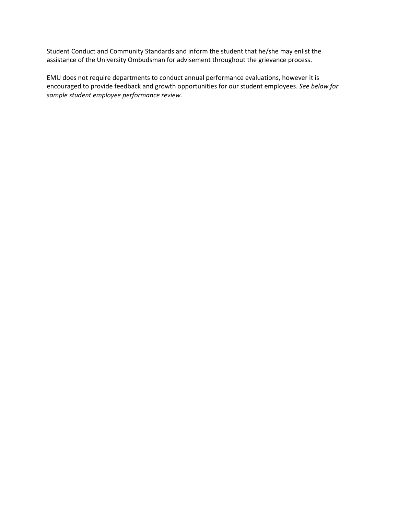Student Conduct and Community Standards and inform the student that he/she may enlist the assistance of the University Ombudsman for advisement throughout the grievance process.

EMU does not require departments to conduct annual performance evaluations, however it is encouraged to provide feedback and growth opportunities for our student employees. *See below for sample student employee performance review.*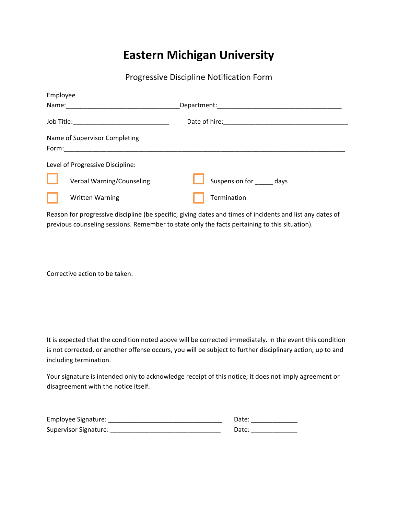# **Eastern Michigan University**

Progressive Discipline Notification Form

| Employee                          |                     |  |
|-----------------------------------|---------------------|--|
| Name:                             | Department:         |  |
| Job Title:_______________________ | Date of hire:       |  |
| Name of Supervisor Completing     |                     |  |
| Form:                             |                     |  |
| Level of Progressive Discipline:  |                     |  |
| Verbal Warning/Counseling         | Suspension for days |  |
| <b>Written Warning</b>            | Termination         |  |

Reason for progressive discipline (be specific, giving dates and times of incidents and list any dates of previous counseling sessions. Remember to state only the facts pertaining to this situation).

Corrective action to be taken:

It is expected that the condition noted above will be corrected immediately. In the event this condition is not corrected, or another offense occurs, you will be subject to further disciplinary action, up to and including termination.

Your signature is intended only to acknowledge receipt of this notice; it does not imply agreement or disagreement with the notice itself.

| Employee Signature:   | Date: |
|-----------------------|-------|
| Supervisor Signature: | Date: |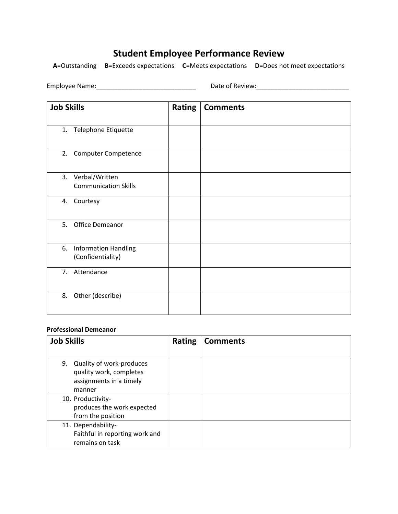# **Student Employee Performance Review**

**A**=Outstanding **B**=Exceeds expectations **C**=Meets expectations **D**=Does not meet expectations

Employee Name:\_\_\_\_\_\_\_\_\_\_\_\_\_\_\_\_\_\_\_\_\_\_\_\_\_\_\_\_ Date of Review:\_\_\_\_\_\_\_\_\_\_\_\_\_\_\_\_\_\_\_\_\_\_\_\_\_\_

| <b>Job Skills</b>                                      | <b>Rating</b> | <b>Comments</b> |
|--------------------------------------------------------|---------------|-----------------|
| 1.<br>Telephone Etiquette                              |               |                 |
| 2.<br><b>Computer Competence</b>                       |               |                 |
| 3.<br>Verbal/Written<br><b>Communication Skills</b>    |               |                 |
| Courtesy<br>4.                                         |               |                 |
| 5.<br><b>Office Demeanor</b>                           |               |                 |
| 6.<br><b>Information Handling</b><br>(Confidentiality) |               |                 |
| 7.<br>Attendance                                       |               |                 |
| Other (describe)<br>8.                                 |               |                 |

### **Professional Demeanor**

| <b>Job Skills</b> |                                | <b>Rating</b> | <b>Comments</b> |
|-------------------|--------------------------------|---------------|-----------------|
|                   |                                |               |                 |
| 9.                | Quality of work-produces       |               |                 |
|                   | quality work, completes        |               |                 |
|                   | assignments in a timely        |               |                 |
|                   | manner                         |               |                 |
|                   | 10. Productivity-              |               |                 |
|                   | produces the work expected     |               |                 |
|                   | from the position              |               |                 |
|                   | 11. Dependability-             |               |                 |
|                   | Faithful in reporting work and |               |                 |
|                   | remains on task                |               |                 |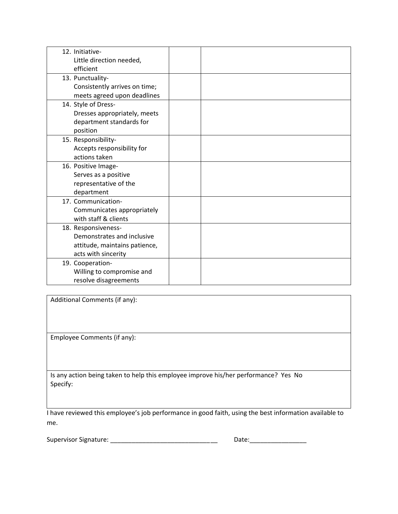| 12. Initiative-               |  |
|-------------------------------|--|
| Little direction needed,      |  |
| efficient                     |  |
| 13. Punctuality-              |  |
| Consistently arrives on time; |  |
| meets agreed upon deadlines   |  |
| 14. Style of Dress-           |  |
| Dresses appropriately, meets  |  |
| department standards for      |  |
| position                      |  |
| 15. Responsibility-           |  |
| Accepts responsibility for    |  |
| actions taken                 |  |
| 16. Positive Image-           |  |
| Serves as a positive          |  |
| representative of the         |  |
| department                    |  |
| 17. Communication-            |  |
| Communicates appropriately    |  |
| with staff & clients          |  |
| 18. Responsiveness-           |  |
| Demonstrates and inclusive    |  |
| attitude, maintains patience, |  |
| acts with sincerity           |  |
| 19. Cooperation-              |  |
| Willing to compromise and     |  |
| resolve disagreements         |  |

Additional Comments (if any):

Employee Comments (if any):

Is any action being taken to help this employee improve his/her performance? Yes No Specify:

I have reviewed this employee's job performance in good faith, using the best information available to me.

Supervisor Signature: \_\_\_\_\_\_\_\_\_\_\_\_\_\_\_\_\_\_\_\_\_\_\_\_\_\_\_\_\_\_ Date:\_\_\_\_\_\_\_\_\_\_\_\_\_\_\_\_

| <b></b><br>ٰ ب<br>$ -$<br>$\sim$ |  |
|----------------------------------|--|
|                                  |  |